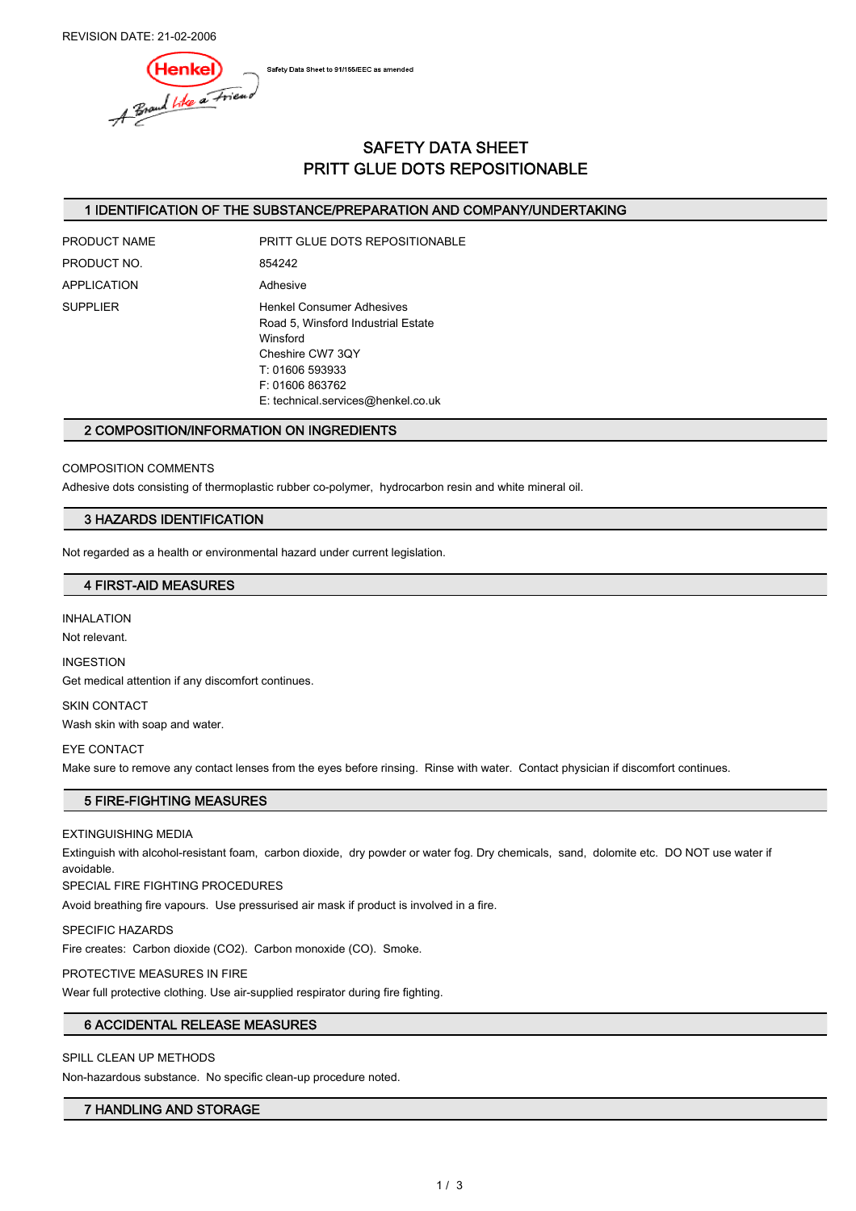REVISION DATE: 21-02-2006

Safety Data Sheet to 91/155/EEC as amended



# SAFETY DATA SHEET PRITT GLUE DOTS REPOSITIONABLE

# 1 IDENTIFICATION OF THE SUBSTANCE/PREPARATION AND COMPANY/UNDERTAKING

PRODUCT NO. 854242 APPLICATION Adhesive

PRODUCT NAME PRITT GLUE DOTS REPOSITIONABLE SUPPLIER Henkel Consumer Adhesives Road 5, Winsford Industrial Estate Winsford Cheshire CW7 3QY T: 01606 593933

F: 01606 863762

E: technical.services@henkel.co.uk

### 2 COMPOSITION/INFORMATION ON INGREDIENTS

### COMPOSITION COMMENTS

Adhesive dots consisting of thermoplastic rubber co-polymer, hydrocarbon resin and white mineral oil.

## 3 HAZARDS IDENTIFICATION

Not regarded as a health or environmental hazard under current legislation.

### 4 FIRST-AID MEASURES

INHALATION

Not relevant.

INGESTION

Get medical attention if any discomfort continues.

SKIN CONTACT Wash skin with soap and water.

#### EYE CONTACT

Make sure to remove any contact lenses from the eyes before rinsing. Rinse with water. Contact physician if discomfort continues.

# 5 FIRE-FIGHTING MEASURES

EXTINGUISHING MEDIA

Extinguish with alcohol-resistant foam, carbon dioxide, dry powder or water fog. Dry chemicals, sand, dolomite etc. DO NOT use water if avoidable.

SPECIAL FIRE FIGHTING PROCEDURES

Avoid breathing fire vapours. Use pressurised air mask if product is involved in a fire.

SPECIFIC HAZARDS

Fire creates: Carbon dioxide (CO2). Carbon monoxide (CO). Smoke.

PROTECTIVE MEASURES IN FIRE

Wear full protective clothing. Use air-supplied respirator during fire fighting.

# 6 ACCIDENTAL RELEASE MEASURES

SPILL CLEAN UP METHODS

Non-hazardous substance. No specific clean-up procedure noted.

### 7 HANDLING AND STORAGE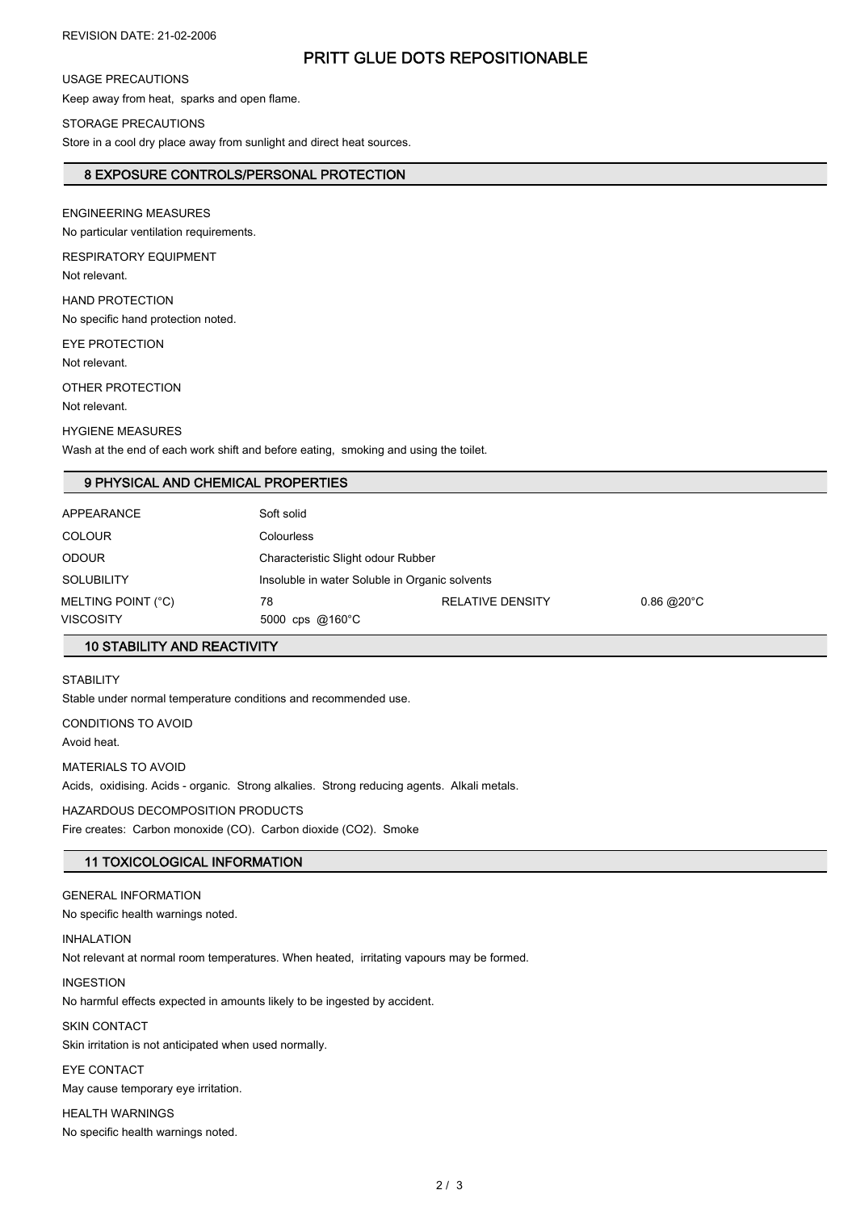# PRITT GLUE DOTS REPOSITIONABLE

# USAGE PRECAUTIONS

Keep away from heat, sparks and open flame.

#### STORAGE PRECAUTIONS

Store in a cool dry place away from sunlight and direct heat sources.

## 8 EXPOSURE CONTROLS/PERSONAL PROTECTION

ENGINEERING MEASURES

No particular ventilation requirements.

RESPIRATORY EQUIPMENT Not relevant.

HAND PROTECTION

No specific hand protection noted.

EYE PROTECTION Not relevant.

OTHER PROTECTION

Not relevant.

HYGIENE MEASURES Wash at the end of each work shift and before eating, smoking and using the toilet.

# 9 PHYSICAL AND CHEMICAL PROPERTIES

| VISCOSITY          | 5000 cps $@160^{\circ}$ C |                                                |              |  |
|--------------------|---------------------------|------------------------------------------------|--------------|--|
| MELTING POINT (°C) | 78                        | <b>RELATIVE DENSITY</b>                        | $0.86$ @20°C |  |
| <b>SOLUBILITY</b>  |                           | Insoluble in water Soluble in Organic solvents |              |  |
| <b>ODOUR</b>       |                           | Characteristic Slight odour Rubber             |              |  |
| <b>COLOUR</b>      | <b>Colourless</b>         |                                                |              |  |
| <b>APPEARANCE</b>  | Soft solid                |                                                |              |  |
|                    |                           |                                                |              |  |

# 10 STABILITY AND REACTIVITY

STABILITY

Stable under normal temperature conditions and recommended use.

CONDITIONS TO AVOID

Avoid heat.

MATERIALS TO AVOID Acids, oxidising. Acids - organic. Strong alkalies. Strong reducing agents. Alkali metals.

HAZARDOUS DECOMPOSITION PRODUCTS

Fire creates: Carbon monoxide (CO). Carbon dioxide (CO2). Smoke

# 11 TOXICOLOGICAL INFORMATION

GENERAL INFORMATION

No specific health warnings noted.

INHALATION

Not relevant at normal room temperatures. When heated, irritating vapours may be formed.

#### INGESTION

No harmful effects expected in amounts likely to be ingested by accident.

SKIN CONTACT Skin irritation is not anticipated when used normally.

EYE CONTACT

May cause temporary eye irritation.

HEALTH WARNINGS No specific health warnings noted.